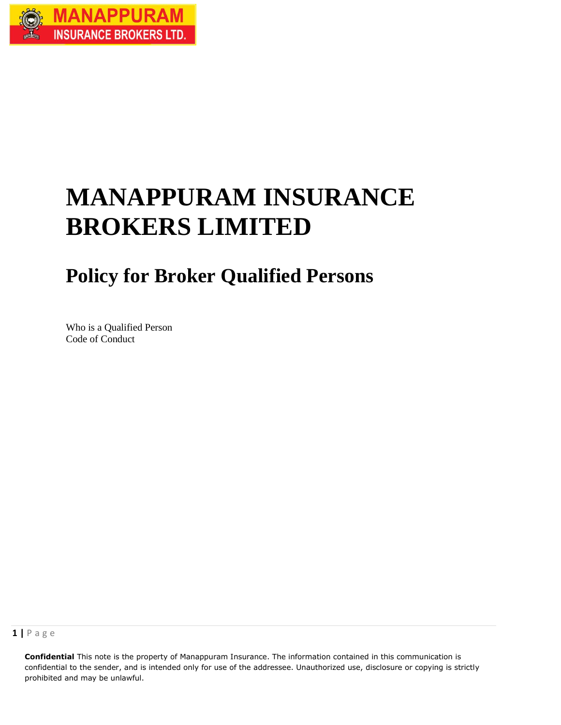

# **MANAPPURAM INSURANCE BROKERS LIMITED**

# **Policy for Broker Qualified Persons**

Who is a Qualified Person Code of Conduct

**1 |** P a g e

**Confidential** This note is the property of Manappuram Insurance. The information contained in this communication is confidential to the sender, and is intended only for use of the addressee. Unauthorized use, disclosure or copying is strictly prohibited and may be unlawful.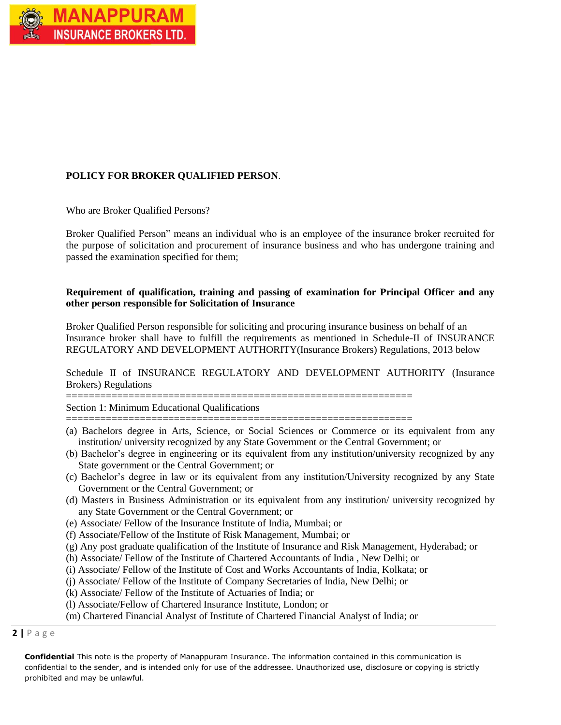

# **POLICY FOR BROKER QUALIFIED PERSON**.

Who are Broker Qualified Persons?

Broker Qualified Person" means an individual who is an employee of the insurance broker recruited for the purpose of solicitation and procurement of insurance business and who has undergone training and passed the examination specified for them;

#### **Requirement of qualification, training and passing of examination for Principal Officer and any other person responsible for Solicitation of Insurance**

Broker Qualified Person responsible for soliciting and procuring insurance business on behalf of an Insurance broker shall have to fulfill the requirements as mentioned in Schedule-II of INSURANCE REGULATORY AND DEVELOPMENT AUTHORITY(Insurance Brokers) Regulations, 2013 below

Schedule II of INSURANCE REGULATORY AND DEVELOPMENT AUTHORITY (Insurance Brokers) Regulations

============================================================= Section 1: Minimum Educational Qualifications

=============================================================

- (a) Bachelors degree in Arts, Science, or Social Sciences or Commerce or its equivalent from any institution/ university recognized by any State Government or the Central Government; or
- (b) Bachelor's degree in engineering or its equivalent from any institution/university recognized by any State government or the Central Government; or
- (c) Bachelor's degree in law or its equivalent from any institution/University recognized by any State Government or the Central Government; or
- (d) Masters in Business Administration or its equivalent from any institution/ university recognized by any State Government or the Central Government; or
- (e) Associate/ Fellow of the Insurance Institute of India, Mumbai; or
- (f) Associate/Fellow of the Institute of Risk Management, Mumbai; or
- (g) Any post graduate qualification of the Institute of Insurance and Risk Management, Hyderabad; or
- (h) Associate/ Fellow of the Institute of Chartered Accountants of India , New Delhi; or
- (i) Associate/ Fellow of the Institute of Cost and Works Accountants of India, Kolkata; or
- (j) Associate/ Fellow of the Institute of Company Secretaries of India, New Delhi; or
- (k) Associate/ Fellow of the Institute of Actuaries of India; or
- (l) Associate/Fellow of Chartered Insurance Institute, London; or
- (m) Chartered Financial Analyst of Institute of Chartered Financial Analyst of India; or

**Confidential** This note is the property of Manappuram Insurance. The information contained in this communication is confidential to the sender, and is intended only for use of the addressee. Unauthorized use, disclosure or copying is strictly prohibited and may be unlawful.

**<sup>2</sup> |** P a g e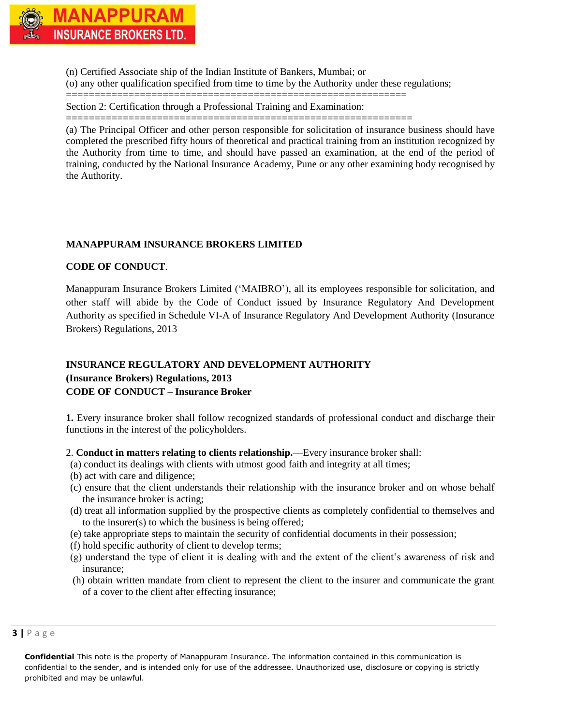

(n) Certified Associate ship of the Indian Institute of Bankers, Mumbai; or

(o) any other qualification specified from time to time by the Authority under these regulations;

============================================================ Section 2: Certification through a Professional Training and Examination:

============================================================= (a) The Principal Officer and other person responsible for solicitation of insurance business should have completed the prescribed fifty hours of theoretical and practical training from an institution recognized by the Authority from time to time, and should have passed an examination, at the end of the period of training, conducted by the National Insurance Academy, Pune or any other examining body recognised by the Authority.

# **MANAPPURAM INSURANCE BROKERS LIMITED**

# **CODE OF CONDUCT**.

Manappuram Insurance Brokers Limited ('MAIBRO'), all its employees responsible for solicitation, and other staff will abide by the Code of Conduct issued by Insurance Regulatory And Development Authority as specified in Schedule VI-A of Insurance Regulatory And Development Authority (Insurance Brokers) Regulations, 2013

# **INSURANCE REGULATORY AND DEVELOPMENT AUTHORITY (Insurance Brokers) Regulations, 2013 CODE OF CONDUCT – Insurance Broker**

**1.** Every insurance broker shall follow recognized standards of professional conduct and discharge their functions in the interest of the policyholders.

2. **Conduct in matters relating to clients relationship.**—Every insurance broker shall:

- (a) conduct its dealings with clients with utmost good faith and integrity at all times;
- (b) act with care and diligence;
- (c) ensure that the client understands their relationship with the insurance broker and on whose behalf the insurance broker is acting;
- (d) treat all information supplied by the prospective clients as completely confidential to themselves and to the insurer(s) to which the business is being offered;
- (e) take appropriate steps to maintain the security of confidential documents in their possession;
- (f) hold specific authority of client to develop terms;
- (g) understand the type of client it is dealing with and the extent of the client's awareness of risk and insurance;
- (h) obtain written mandate from client to represent the client to the insurer and communicate the grant of a cover to the client after effecting insurance;

**<sup>3</sup> |** P a g e

**Confidential** This note is the property of Manappuram Insurance. The information contained in this communication is confidential to the sender, and is intended only for use of the addressee. Unauthorized use, disclosure or copying is strictly prohibited and may be unlawful.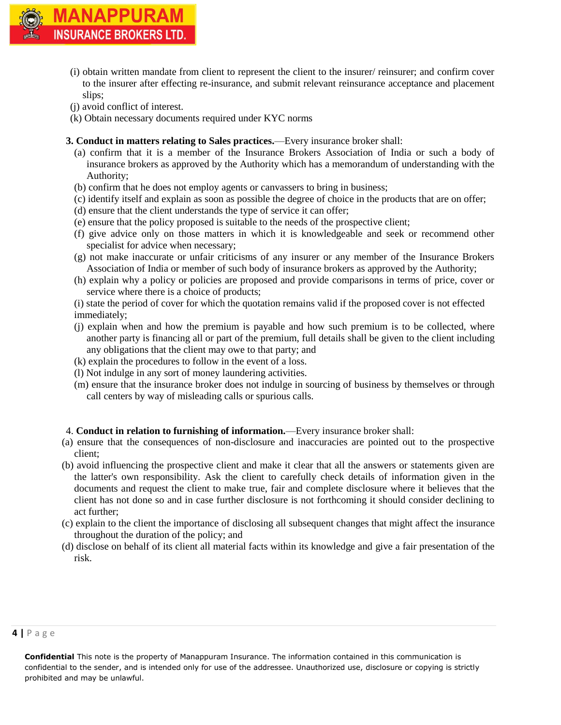

- (i) obtain written mandate from client to represent the client to the insurer/ reinsurer; and confirm cover to the insurer after effecting re-insurance, and submit relevant reinsurance acceptance and placement slips;
- (j) avoid conflict of interest.
- (k) Obtain necessary documents required under KYC norms
- **3. Conduct in matters relating to Sales practices.**—Every insurance broker shall:
	- (a) confirm that it is a member of the Insurance Brokers Association of India or such a body of insurance brokers as approved by the Authority which has a memorandum of understanding with the Authority;
	- (b) confirm that he does not employ agents or canvassers to bring in business;
	- (c) identify itself and explain as soon as possible the degree of choice in the products that are on offer;
	- (d) ensure that the client understands the type of service it can offer;
	- (e) ensure that the policy proposed is suitable to the needs of the prospective client;
	- (f) give advice only on those matters in which it is knowledgeable and seek or recommend other specialist for advice when necessary;
	- (g) not make inaccurate or unfair criticisms of any insurer or any member of the Insurance Brokers Association of India or member of such body of insurance brokers as approved by the Authority;
	- (h) explain why a policy or policies are proposed and provide comparisons in terms of price, cover or service where there is a choice of products;
	- (i) state the period of cover for which the quotation remains valid if the proposed cover is not effected immediately;
	- (j) explain when and how the premium is payable and how such premium is to be collected, where another party is financing all or part of the premium, full details shall be given to the client including any obligations that the client may owe to that party; and
	- (k) explain the procedures to follow in the event of a loss.
	- (l) Not indulge in any sort of money laundering activities.
	- (m) ensure that the insurance broker does not indulge in sourcing of business by themselves or through call centers by way of misleading calls or spurious calls.

#### 4. **Conduct in relation to furnishing of information.**—Every insurance broker shall:

- (a) ensure that the consequences of non-disclosure and inaccuracies are pointed out to the prospective client;
- (b) avoid influencing the prospective client and make it clear that all the answers or statements given are the latter's own responsibility. Ask the client to carefully check details of information given in the documents and request the client to make true, fair and complete disclosure where it believes that the client has not done so and in case further disclosure is not forthcoming it should consider declining to act further;
- (c) explain to the client the importance of disclosing all subsequent changes that might affect the insurance throughout the duration of the policy; and
- (d) disclose on behalf of its client all material facts within its knowledge and give a fair presentation of the risk.

#### **4 |** P a g e

**Confidential** This note is the property of Manappuram Insurance. The information contained in this communication is confidential to the sender, and is intended only for use of the addressee. Unauthorized use, disclosure or copying is strictly prohibited and may be unlawful.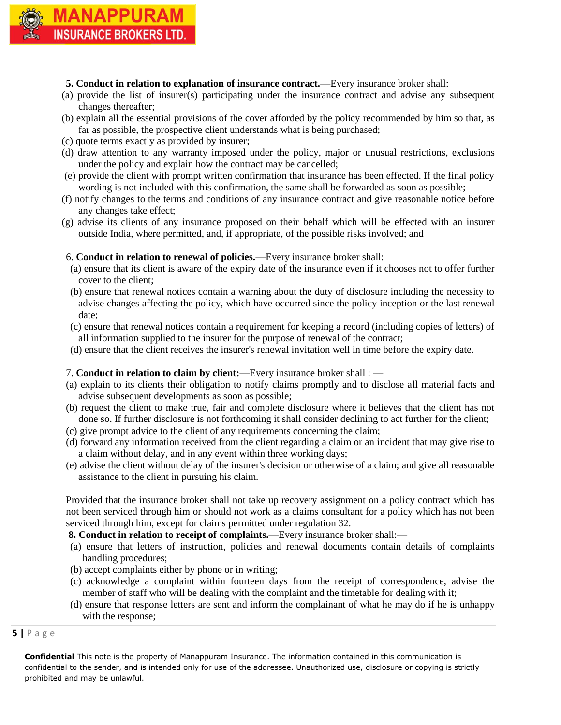

**5. Conduct in relation to explanation of insurance contract.**—Every insurance broker shall:

- (a) provide the list of insurer(s) participating under the insurance contract and advise any subsequent changes thereafter;
- (b) explain all the essential provisions of the cover afforded by the policy recommended by him so that, as far as possible, the prospective client understands what is being purchased;
- (c) quote terms exactly as provided by insurer;
- (d) draw attention to any warranty imposed under the policy, major or unusual restrictions, exclusions under the policy and explain how the contract may be cancelled;
- (e) provide the client with prompt written confirmation that insurance has been effected. If the final policy wording is not included with this confirmation, the same shall be forwarded as soon as possible;
- (f) notify changes to the terms and conditions of any insurance contract and give reasonable notice before any changes take effect;
- (g) advise its clients of any insurance proposed on their behalf which will be effected with an insurer outside India, where permitted, and, if appropriate, of the possible risks involved; and
- 6. **Conduct in relation to renewal of policies.**—Every insurance broker shall:
- (a) ensure that its client is aware of the expiry date of the insurance even if it chooses not to offer further cover to the client;
- (b) ensure that renewal notices contain a warning about the duty of disclosure including the necessity to advise changes affecting the policy, which have occurred since the policy inception or the last renewal date;
- (c) ensure that renewal notices contain a requirement for keeping a record (including copies of letters) of all information supplied to the insurer for the purpose of renewal of the contract;
- (d) ensure that the client receives the insurer's renewal invitation well in time before the expiry date.

# 7. **Conduct in relation to claim by client:**—Every insurance broker shall : —

- (a) explain to its clients their obligation to notify claims promptly and to disclose all material facts and advise subsequent developments as soon as possible;
- (b) request the client to make true, fair and complete disclosure where it believes that the client has not done so. If further disclosure is not forthcoming it shall consider declining to act further for the client;
- (c) give prompt advice to the client of any requirements concerning the claim;
- (d) forward any information received from the client regarding a claim or an incident that may give rise to a claim without delay, and in any event within three working days;
- (e) advise the client without delay of the insurer's decision or otherwise of a claim; and give all reasonable assistance to the client in pursuing his claim.

Provided that the insurance broker shall not take up recovery assignment on a policy contract which has not been serviced through him or should not work as a claims consultant for a policy which has not been serviced through him, except for claims permitted under regulation 32.

**8. Conduct in relation to receipt of complaints.**—Every insurance broker shall:—

- (a) ensure that letters of instruction, policies and renewal documents contain details of complaints handling procedures;
- (b) accept complaints either by phone or in writing;
- (c) acknowledge a complaint within fourteen days from the receipt of correspondence, advise the member of staff who will be dealing with the complaint and the timetable for dealing with it;
- (d) ensure that response letters are sent and inform the complainant of what he may do if he is unhappy with the response;

**<sup>5</sup> |** P a g e

**Confidential** This note is the property of Manappuram Insurance. The information contained in this communication is confidential to the sender, and is intended only for use of the addressee. Unauthorized use, disclosure or copying is strictly prohibited and may be unlawful.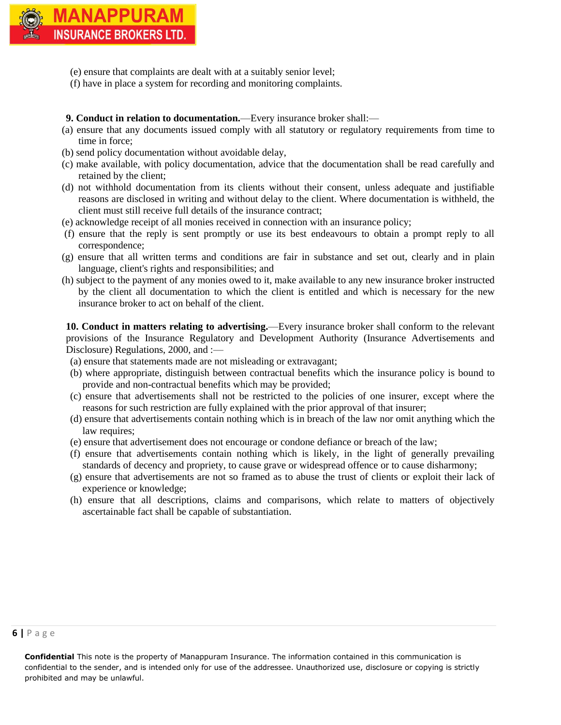

- (e) ensure that complaints are dealt with at a suitably senior level;
- (f) have in place a system for recording and monitoring complaints.

#### **9. Conduct in relation to documentation.**—Every insurance broker shall:—

- (a) ensure that any documents issued comply with all statutory or regulatory requirements from time to time in force;
- (b) send policy documentation without avoidable delay,
- (c) make available, with policy documentation, advice that the documentation shall be read carefully and retained by the client;
- (d) not withhold documentation from its clients without their consent, unless adequate and justifiable reasons are disclosed in writing and without delay to the client. Where documentation is withheld, the client must still receive full details of the insurance contract;
- (e) acknowledge receipt of all monies received in connection with an insurance policy;
- (f) ensure that the reply is sent promptly or use its best endeavours to obtain a prompt reply to all correspondence;
- (g) ensure that all written terms and conditions are fair in substance and set out, clearly and in plain language, client's rights and responsibilities; and
- (h) subject to the payment of any monies owed to it, make available to any new insurance broker instructed by the client all documentation to which the client is entitled and which is necessary for the new insurance broker to act on behalf of the client.

**10. Conduct in matters relating to advertising.**—Every insurance broker shall conform to the relevant provisions of the Insurance Regulatory and Development Authority (Insurance Advertisements and Disclosure) Regulations, 2000, and :—

(a) ensure that statements made are not misleading or extravagant;

- (b) where appropriate, distinguish between contractual benefits which the insurance policy is bound to provide and non-contractual benefits which may be provided;
- (c) ensure that advertisements shall not be restricted to the policies of one insurer, except where the reasons for such restriction are fully explained with the prior approval of that insurer;
- (d) ensure that advertisements contain nothing which is in breach of the law nor omit anything which the law requires;
- (e) ensure that advertisement does not encourage or condone defiance or breach of the law;
- (f) ensure that advertisements contain nothing which is likely, in the light of generally prevailing standards of decency and propriety, to cause grave or widespread offence or to cause disharmony;
- (g) ensure that advertisements are not so framed as to abuse the trust of clients or exploit their lack of experience or knowledge;
- (h) ensure that all descriptions, claims and comparisons, which relate to matters of objectively ascertainable fact shall be capable of substantiation.

**<sup>6</sup> |** P a g e

**Confidential** This note is the property of Manappuram Insurance. The information contained in this communication is confidential to the sender, and is intended only for use of the addressee. Unauthorized use, disclosure or copying is strictly prohibited and may be unlawful.